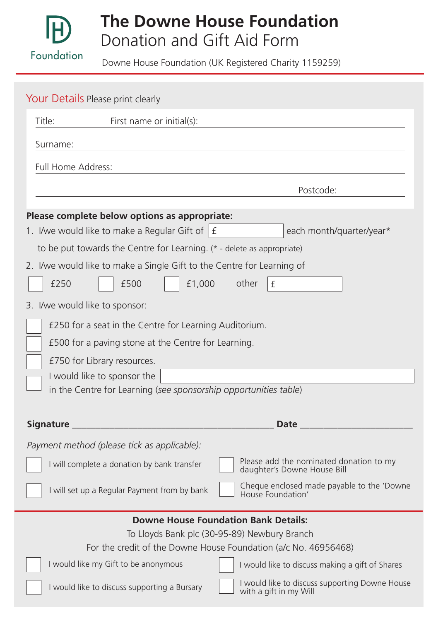

# **The Downe House Foundation** Donation and Gift Aid Form

Downe House Foundation (UK Registered Charity 1159259)

|                                                                          |                                                                                                                       | Your Details Please print clearly                  |                 |                   |                          |                                                |
|--------------------------------------------------------------------------|-----------------------------------------------------------------------------------------------------------------------|----------------------------------------------------|-----------------|-------------------|--------------------------|------------------------------------------------|
|                                                                          | Title:<br>First name or initial(s):                                                                                   |                                                    |                 |                   |                          |                                                |
| Surname:                                                                 |                                                                                                                       |                                                    |                 |                   |                          |                                                |
|                                                                          | Full Home Address:                                                                                                    |                                                    |                 |                   |                          |                                                |
|                                                                          |                                                                                                                       | Postcode:                                          |                 |                   |                          |                                                |
| Please complete below options as appropriate:                            |                                                                                                                       |                                                    |                 |                   |                          |                                                |
|                                                                          |                                                                                                                       | 1. I/we would like to make a Regular Gift of $ f $ |                 |                   | each month/quarter/year* |                                                |
| to be put towards the Centre for Learning. $(* -$ delete as appropriate) |                                                                                                                       |                                                    |                 |                   |                          |                                                |
| 2. I/we would like to make a Single Gift to the Centre for Learning of   |                                                                                                                       |                                                    |                 |                   |                          |                                                |
|                                                                          | £250                                                                                                                  | £500                                               | £1,000<br>other | £                 |                          |                                                |
| 3. I/we would like to sponsor:                                           |                                                                                                                       |                                                    |                 |                   |                          |                                                |
| £250 for a seat in the Centre for Learning Auditorium.                   |                                                                                                                       |                                                    |                 |                   |                          |                                                |
|                                                                          | £500 for a paving stone at the Centre for Learning.<br>£750 for Library resources.                                    |                                                    |                 |                   |                          |                                                |
|                                                                          |                                                                                                                       |                                                    |                 |                   |                          |                                                |
|                                                                          | I would like to sponsor the                                                                                           |                                                    |                 |                   |                          |                                                |
| in the Centre for Learning (see sponsorship opportunities table)         |                                                                                                                       |                                                    |                 |                   |                          |                                                |
| Signature<br>Date                                                        |                                                                                                                       |                                                    |                 |                   |                          |                                                |
| Payment method (please tick as applicable):                              |                                                                                                                       |                                                    |                 |                   |                          |                                                |
|                                                                          | Please add the nominated donation to my<br>I will complete a donation by bank transfer<br>daughter's Downe House Bill |                                                    |                 |                   |                          |                                                |
|                                                                          |                                                                                                                       | I will set up a Regular Payment from by bank       |                 | House Foundation' |                          | Cheque enclosed made payable to the 'Downe     |
| <b>Downe House Foundation Bank Details:</b>                              |                                                                                                                       |                                                    |                 |                   |                          |                                                |
| To Lloyds Bank plc (30-95-89) Newbury Branch                             |                                                                                                                       |                                                    |                 |                   |                          |                                                |
| For the credit of the Downe House Foundation (a/c No. 46956468)          |                                                                                                                       |                                                    |                 |                   |                          |                                                |
|                                                                          | I would like my Gift to be anonymous<br>I would like to discuss making a gift of Shares                               |                                                    |                 |                   |                          |                                                |
|                                                                          |                                                                                                                       | I would like to discuss supporting a Bursary       |                 |                   | with a gift in my Will   | I would like to discuss supporting Downe House |